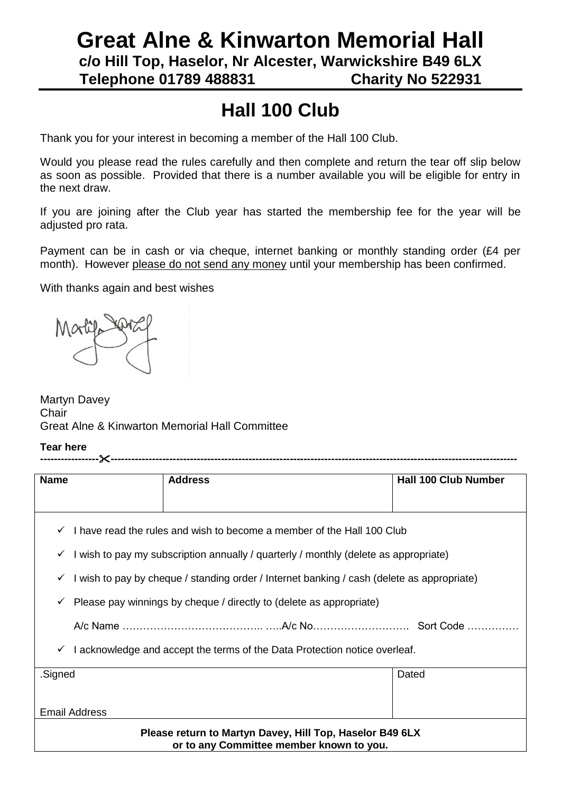# **Great Alne & Kinwarton Memorial Hall c/o Hill Top, Haselor, Nr Alcester, Warwickshire B49 6LX Telephone 01789 488831 Charity No 522931**

# **Hall 100 Club**

Thank you for your interest in becoming a member of the Hall 100 Club.

Would you please read the rules carefully and then complete and return the tear off slip below as soon as possible. Provided that there is a number available you will be eligible for entry in the next draw.

If you are joining after the Club year has started the membership fee for the year will be adjusted pro rata.

Payment can be in cash or via cheque, internet banking or monthly standing order (£4 per month). However please do not send any money until your membership has been confirmed.

With thanks again and best wishes



Martyn Davey **Chair** Great Alne & Kinwarton Memorial Hall Committee

#### **Tear here**

| <b>Name</b>                                                                                          |                                                                                            | <b>Address</b> | <b>Hall 100 Club Number</b> |  |  |  |
|------------------------------------------------------------------------------------------------------|--------------------------------------------------------------------------------------------|----------------|-----------------------------|--|--|--|
|                                                                                                      |                                                                                            |                |                             |  |  |  |
| I have read the rules and wish to become a member of the Hall 100 Club<br>$\checkmark$               |                                                                                            |                |                             |  |  |  |
| $\checkmark$                                                                                         | I wish to pay my subscription annually / quarterly / monthly (delete as appropriate)       |                |                             |  |  |  |
| ✓                                                                                                    | I wish to pay by cheque / standing order / Internet banking / cash (delete as appropriate) |                |                             |  |  |  |
| ✓                                                                                                    | Please pay winnings by cheque / directly to (delete as appropriate)                        |                |                             |  |  |  |
|                                                                                                      |                                                                                            |                |                             |  |  |  |
| $\checkmark$                                                                                         | I acknowledge and accept the terms of the Data Protection notice overleaf.                 |                |                             |  |  |  |
| .Signed                                                                                              |                                                                                            | Dated          |                             |  |  |  |
|                                                                                                      |                                                                                            |                |                             |  |  |  |
| <b>Email Address</b>                                                                                 |                                                                                            |                |                             |  |  |  |
| Please return to Martyn Davey, Hill Top, Haselor B49 6LX<br>or to any Committee member known to you. |                                                                                            |                |                             |  |  |  |